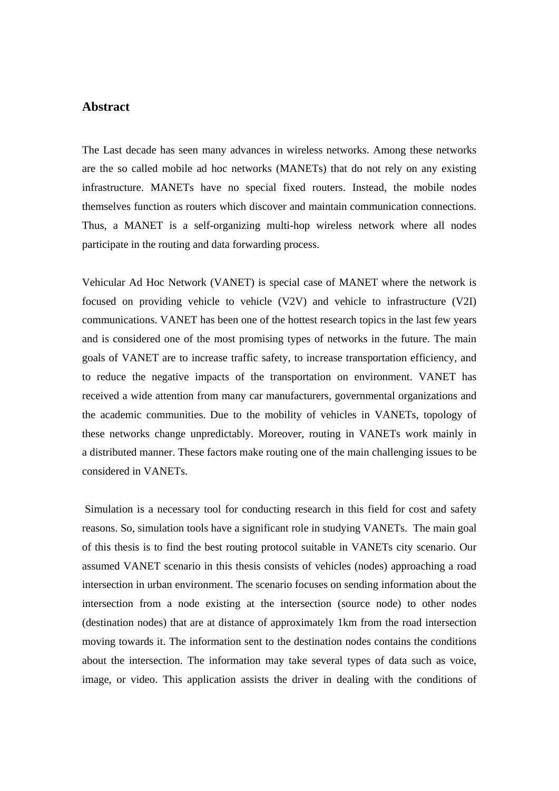## **Abstract**

The Last decade has seen many advances in wireless networks. Among these networks are the so called mobile ad hoc networks (MANETs) that do not rely on any existing infrastructure. MANETs have no special fixed routers. Instead, the mobile nodes themselves function as routers which discover and maintain communication connections. Thus, a MANET is a self-organizing multi-hop wireless network where all nodes participate in the routing and data forwarding process.

Vehicular Ad Hoc Network (VANET) is special case of MANET where the network is focused on providing vehicle to vehicle (V2V) and vehicle to infrastructure (V2I) communications. VANET has been one of the hottest research topics in the last few years and is considered one of the most promising types of networks in the future. The main goals of VANET are to increase traffic safety, to increase transportation efficiency, and to reduce the negative impacts of the transportation on environment. VANET has received a wide attention from many car manufacturers, governmental organizations and the academic communities. Due to the mobility of vehicles in VANETs, topology of these networks change unpredictably. Moreover, routing in VANETs work mainly in a distributed manner. These factors make routing one of the main challenging issues to be considered in VANETs.

 Simulation is a necessary tool for conducting research in this field for cost and safety reasons. So, simulation tools have a significant role in studying VANETs. The main goal of this thesis is to find the best routing protocol suitable in VANETs city scenario. Our assumed VANET scenario in this thesis consists of vehicles (nodes) approaching a road intersection in urban environment. The scenario focuses on sending information about the intersection from a node existing at the intersection (source node) to other nodes (destination nodes) that are at distance of approximately 1km from the road intersection moving towards it. The information sent to the destination nodes contains the conditions about the intersection. The information may take several types of data such as voice, image, or video. This application assists the driver in dealing with the conditions of